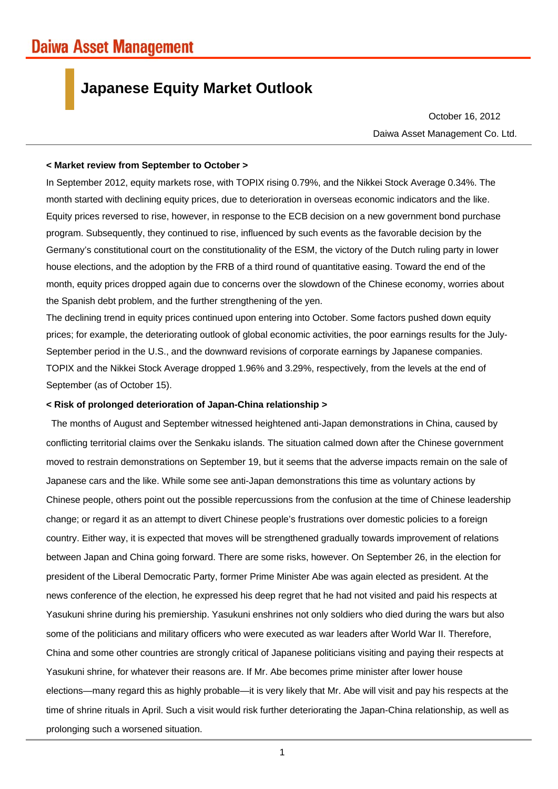# **Japanese Equity Market Outlook**

Daiwa Asset Management Co. Ltd. October 16, 2012

#### **< Market review from September to October >**

In September 2012, equity markets rose, with TOPIX rising 0.79%, and the Nikkei Stock Average 0.34%. The month started with declining equity prices, due to deterioration in overseas economic indicators and the like. Equity prices reversed to rise, however, in response to the ECB decision on a new government bond purchase program. Subsequently, they continued to rise, influenced by such events as the favorable decision by the Germany's constitutional court on the constitutionality of the ESM, the victory of the Dutch ruling party in lower house elections, and the adoption by the FRB of a third round of quantitative easing. Toward the end of the month, equity prices dropped again due to concerns over the slowdown of the Chinese economy, worries about the Spanish debt problem, and the further strengthening of the yen.

The declining trend in equity prices continued upon entering into October. Some factors pushed down equity prices; for example, the deteriorating outlook of global economic activities, the poor earnings results for the July-September period in the U.S., and the downward revisions of corporate earnings by Japanese companies. TOPIX and the Nikkei Stock Average dropped 1.96% and 3.29%, respectively, from the levels at the end of September (as of October 15).

## **< Risk of prolonged deterioration of Japan-China relationship >**

The months of August and September witnessed heightened anti-Japan demonstrations in China, caused by conflicting territorial claims over the Senkaku islands. The situation calmed down after the Chinese government moved to restrain demonstrations on September 19, but it seems that the adverse impacts remain on the sale of Japanese cars and the like. While some see anti-Japan demonstrations this time as voluntary actions by Chinese people, others point out the possible repercussions from the confusion at the time of Chinese leadership change; or regard it as an attempt to divert Chinese people's frustrations over domestic policies to a foreign country. Either way, it is expected that moves will be strengthened gradually towards improvement of relations between Japan and China going forward. There are some risks, however. On September 26, in the election for president of the Liberal Democratic Party, former Prime Minister Abe was again elected as president. At the news conference of the election, he expressed his deep regret that he had not visited and paid his respects at Yasukuni shrine during his premiership. Yasukuni enshrines not only soldiers who died during the wars but also some of the politicians and military officers who were executed as war leaders after World War II. Therefore, China and some other countries are strongly critical of Japanese politicians visiting and paying their respects at Yasukuni shrine, for whatever their reasons are. If Mr. Abe becomes prime minister after lower house elections—many regard this as highly probable—it is very likely that Mr. Abe will visit and pay his respects at the time of shrine rituals in April. Such a visit would risk further deteriorating the Japan-China relationship, as well as prolonging such a worsened situation.